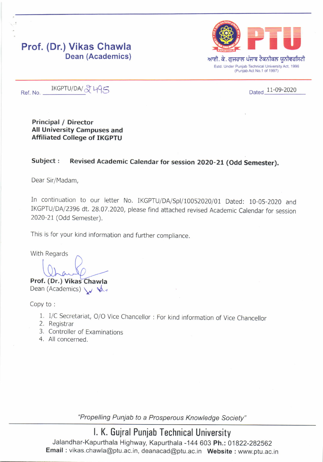# Prof. (Dr.) Vikas Chawla Dean (Academics)



Ref. No.  $IKGPTU/DA/\sqrt{2}$  495 Dated 11-09-2020

Principal / Director All University Campuses and Affiliated College of IKGPTU

## Subject : Revised Academic Calendar for session 2020-21 (Odd Semester).

Dear Sir/Madam,

In continuation to our letter No. IKGPTU/DA/Spl/10052020/01 Dated: 10-05-2020 and IKGPTU/DA/2396 dt. 28.07.2020, please find attached revised Academic Calendar for session 2020-21 (Odd Semester).

This is for your kind information and further compliance

With Regards

 $\bigcap_{\Delta}$  $\overline{\phantom{a}}$ 

Prof. (Dr.) Vikas Chawla Dean (Academics)  $\cup$   $\mathcal{A}_{1}$ 

Copy to :

- 1. l/c secretariat, o/o Vice chancellor : For kind information of Vice chancellor 2. Registrar
- 
- 3. Controller of Examinations
- 4. All concerned.

"Propelling Punjab to a Prosperous Knowledge Society"

# l. K. Gujral Punjab Technical University

Jalandhar-Kapurthala Highway, Kapurthala -144 603 Ph.: 01822-282562 Email: vikas.chawla@ptu.ac.in, deanacad@ptu.ac.in Website: www.ptu.ac.in